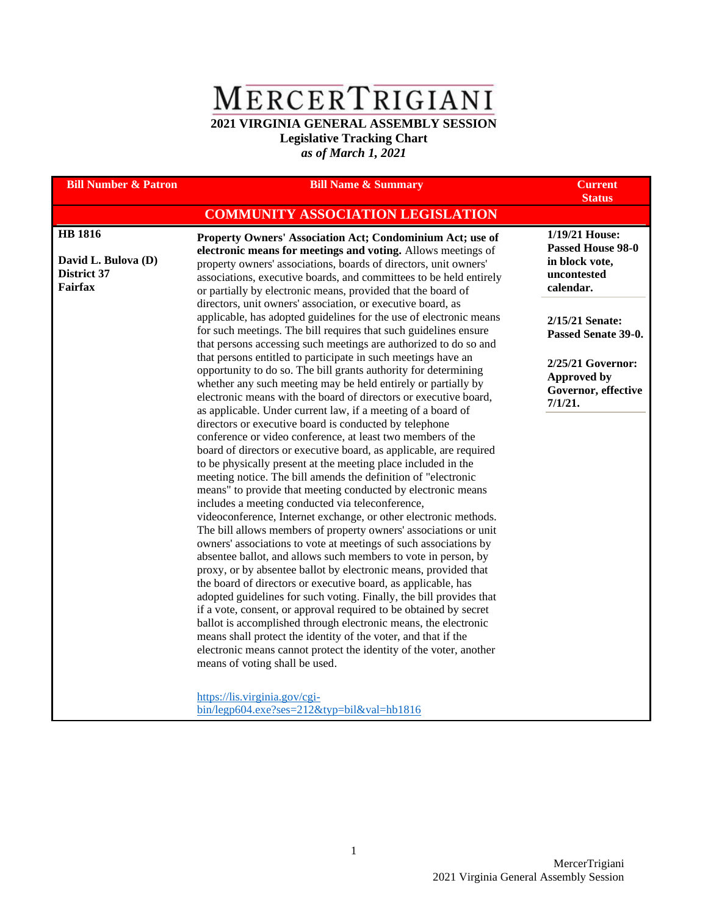## MERCERTRIGIANI

**2021 VIRGINIA GENERAL ASSEMBLY SESSION Legislative Tracking Chart**

*as of March 1, 2021*

| <b>Bill Number &amp; Patron</b>                                        | <b>Bill Name &amp; Summary</b>                                                                                                                                                                                                                                                                                                                                                                                                                                                                                                                                                                                                                                                                                                                                                                                                                                                                                                                                                                                                                                           | <b>Current</b><br><b>Status</b>                                                          |
|------------------------------------------------------------------------|--------------------------------------------------------------------------------------------------------------------------------------------------------------------------------------------------------------------------------------------------------------------------------------------------------------------------------------------------------------------------------------------------------------------------------------------------------------------------------------------------------------------------------------------------------------------------------------------------------------------------------------------------------------------------------------------------------------------------------------------------------------------------------------------------------------------------------------------------------------------------------------------------------------------------------------------------------------------------------------------------------------------------------------------------------------------------|------------------------------------------------------------------------------------------|
|                                                                        | <b>COMMUNITY ASSOCIATION LEGISLATION</b>                                                                                                                                                                                                                                                                                                                                                                                                                                                                                                                                                                                                                                                                                                                                                                                                                                                                                                                                                                                                                                 |                                                                                          |
| <b>HB</b> 1816<br>David L. Bulova (D)<br>District 37<br><b>Fairfax</b> | Property Owners' Association Act; Condominium Act; use of<br>electronic means for meetings and voting. Allows meetings of<br>property owners' associations, boards of directors, unit owners'<br>associations, executive boards, and committees to be held entirely<br>or partially by electronic means, provided that the board of                                                                                                                                                                                                                                                                                                                                                                                                                                                                                                                                                                                                                                                                                                                                      | 1/19/21 House:<br><b>Passed House 98-0</b><br>in block vote,<br>uncontested<br>calendar. |
|                                                                        | directors, unit owners' association, or executive board, as<br>applicable, has adopted guidelines for the use of electronic means<br>for such meetings. The bill requires that such guidelines ensure<br>that persons accessing such meetings are authorized to do so and                                                                                                                                                                                                                                                                                                                                                                                                                                                                                                                                                                                                                                                                                                                                                                                                | 2/15/21 Senate:<br>Passed Senate 39-0.                                                   |
|                                                                        | that persons entitled to participate in such meetings have an<br>opportunity to do so. The bill grants authority for determining<br>whether any such meeting may be held entirely or partially by<br>electronic means with the board of directors or executive board,<br>as applicable. Under current law, if a meeting of a board of<br>directors or executive board is conducted by telephone<br>conference or video conference, at least two members of the<br>board of directors or executive board, as applicable, are required<br>to be physically present at the meeting place included in the<br>meeting notice. The bill amends the definition of "electronic<br>means" to provide that meeting conducted by electronic means<br>includes a meeting conducted via teleconference,<br>videoconference, Internet exchange, or other electronic methods.<br>The bill allows members of property owners' associations or unit<br>owners' associations to vote at meetings of such associations by<br>absentee ballot, and allows such members to vote in person, by | 2/25/21 Governor:<br><b>Approved by</b><br>Governor, effective<br>7/1/21.                |
|                                                                        | proxy, or by absentee ballot by electronic means, provided that<br>the board of directors or executive board, as applicable, has<br>adopted guidelines for such voting. Finally, the bill provides that<br>if a vote, consent, or approval required to be obtained by secret<br>ballot is accomplished through electronic means, the electronic<br>means shall protect the identity of the voter, and that if the<br>electronic means cannot protect the identity of the voter, another<br>means of voting shall be used.<br>https://lis.virginia.gov/cgi-<br>$bin/legp604.exe?ses=212\&typ=bil\&val=hb1816$                                                                                                                                                                                                                                                                                                                                                                                                                                                             |                                                                                          |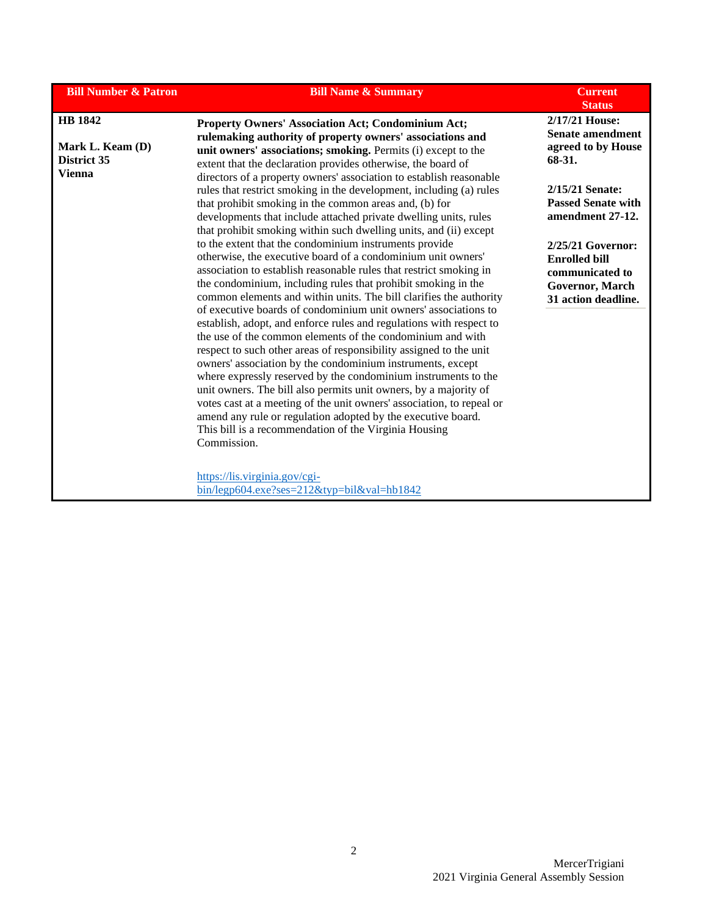| <b>Bill Number &amp; Patron</b>                                                                                                                                                                                                                                                                                                                                                                                                                                                                                                                                                                                                                                                                                                                                                                                                                                                                                                                                                                                                                                                                                                                                                                                                                                                                                                                                                                                                           | <b>Bill Name &amp; Summary</b>                                                                                                                                                                                                                          | <b>Current</b><br><b>Status</b>                                           |
|-------------------------------------------------------------------------------------------------------------------------------------------------------------------------------------------------------------------------------------------------------------------------------------------------------------------------------------------------------------------------------------------------------------------------------------------------------------------------------------------------------------------------------------------------------------------------------------------------------------------------------------------------------------------------------------------------------------------------------------------------------------------------------------------------------------------------------------------------------------------------------------------------------------------------------------------------------------------------------------------------------------------------------------------------------------------------------------------------------------------------------------------------------------------------------------------------------------------------------------------------------------------------------------------------------------------------------------------------------------------------------------------------------------------------------------------|---------------------------------------------------------------------------------------------------------------------------------------------------------------------------------------------------------------------------------------------------------|---------------------------------------------------------------------------|
| HB 1842<br>Mark L. Keam (D)<br>District 35                                                                                                                                                                                                                                                                                                                                                                                                                                                                                                                                                                                                                                                                                                                                                                                                                                                                                                                                                                                                                                                                                                                                                                                                                                                                                                                                                                                                | <b>Property Owners' Association Act; Condominium Act;</b><br>rulemaking authority of property owners' associations and<br>unit owners' associations; smoking. Permits (i) except to the<br>extent that the declaration provides otherwise, the board of | 2/17/21 House:<br><b>Senate amendment</b><br>agreed to by House<br>68-31. |
| <b>Vienna</b><br>directors of a property owners' association to establish reasonable<br>rules that restrict smoking in the development, including (a) rules<br>that prohibit smoking in the common areas and, (b) for<br>developments that include attached private dwelling units, rules<br>that prohibit smoking within such dwelling units, and (ii) except<br>to the extent that the condominium instruments provide<br>otherwise, the executive board of a condominium unit owners'<br>association to establish reasonable rules that restrict smoking in<br>the condominium, including rules that prohibit smoking in the<br>common elements and within units. The bill clarifies the authority<br>of executive boards of condominium unit owners' associations to<br>establish, adopt, and enforce rules and regulations with respect to<br>the use of the common elements of the condominium and with<br>respect to such other areas of responsibility assigned to the unit<br>owners' association by the condominium instruments, except<br>where expressly reserved by the condominium instruments to the<br>unit owners. The bill also permits unit owners, by a majority of<br>votes cast at a meeting of the unit owners' association, to repeal or<br>amend any rule or regulation adopted by the executive board.<br>This bill is a recommendation of the Virginia Housing<br>Commission.<br>https://lis.virginia.gov/cgi- |                                                                                                                                                                                                                                                         | 2/15/21 Senate:<br><b>Passed Senate with</b><br>amendment 27-12.          |
|                                                                                                                                                                                                                                                                                                                                                                                                                                                                                                                                                                                                                                                                                                                                                                                                                                                                                                                                                                                                                                                                                                                                                                                                                                                                                                                                                                                                                                           | 2/25/21 Governor:<br><b>Enrolled bill</b><br>communicated to<br>Governor, March<br>31 action deadline.                                                                                                                                                  |                                                                           |
|                                                                                                                                                                                                                                                                                                                                                                                                                                                                                                                                                                                                                                                                                                                                                                                                                                                                                                                                                                                                                                                                                                                                                                                                                                                                                                                                                                                                                                           |                                                                                                                                                                                                                                                         |                                                                           |
|                                                                                                                                                                                                                                                                                                                                                                                                                                                                                                                                                                                                                                                                                                                                                                                                                                                                                                                                                                                                                                                                                                                                                                                                                                                                                                                                                                                                                                           | $bin/legp604.exe?ses=212\&typ=bil\&val=hb1842$                                                                                                                                                                                                          |                                                                           |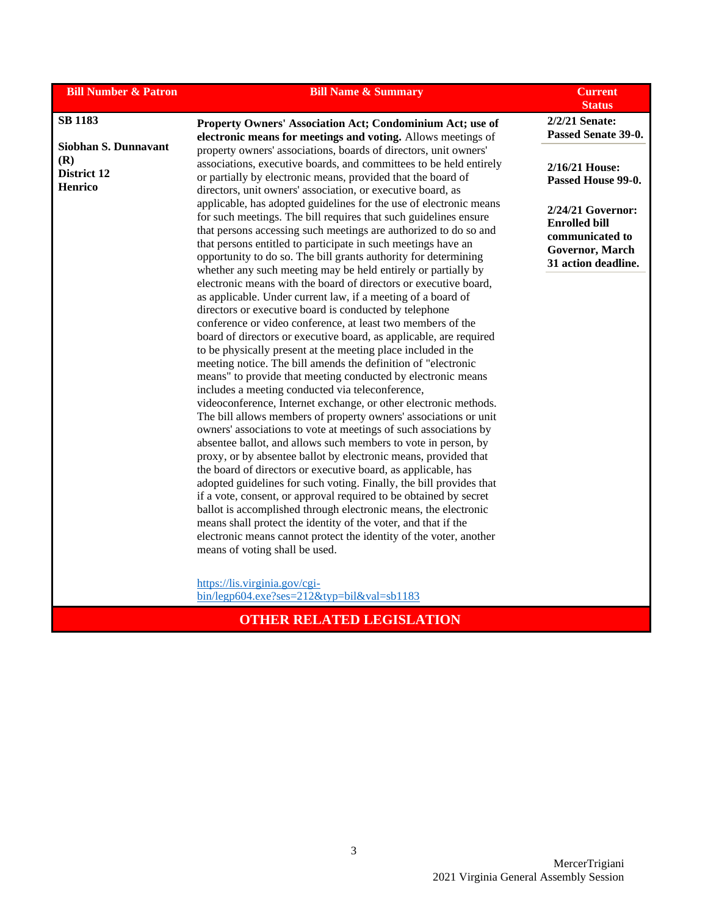| <b>Bill Number &amp; Patron</b>                       | <b>Bill Name &amp; Summary</b>                                                                                                                                                                                                                                                                                                                                                                                                                                                                                                                                                                                                                                                                                                                                                                                                                                                                                                                                                                                                                                                                                                                                                                                                                                                           | <b>Current</b><br><b>Status</b>                                                                        |
|-------------------------------------------------------|------------------------------------------------------------------------------------------------------------------------------------------------------------------------------------------------------------------------------------------------------------------------------------------------------------------------------------------------------------------------------------------------------------------------------------------------------------------------------------------------------------------------------------------------------------------------------------------------------------------------------------------------------------------------------------------------------------------------------------------------------------------------------------------------------------------------------------------------------------------------------------------------------------------------------------------------------------------------------------------------------------------------------------------------------------------------------------------------------------------------------------------------------------------------------------------------------------------------------------------------------------------------------------------|--------------------------------------------------------------------------------------------------------|
| <b>SB 1183</b>                                        | Property Owners' Association Act; Condominium Act; use of<br>electronic means for meetings and voting. Allows meetings of                                                                                                                                                                                                                                                                                                                                                                                                                                                                                                                                                                                                                                                                                                                                                                                                                                                                                                                                                                                                                                                                                                                                                                | 2/2/21 Senate:<br>Passed Senate 39-0.                                                                  |
| Siobhan S. Dunnavant<br>(R)<br>District 12<br>Henrico | property owners' associations, boards of directors, unit owners'<br>associations, executive boards, and committees to be held entirely<br>or partially by electronic means, provided that the board of<br>directors, unit owners' association, or executive board, as                                                                                                                                                                                                                                                                                                                                                                                                                                                                                                                                                                                                                                                                                                                                                                                                                                                                                                                                                                                                                    | 2/16/21 House:<br>Passed House 99-0.                                                                   |
|                                                       | applicable, has adopted guidelines for the use of electronic means<br>for such meetings. The bill requires that such guidelines ensure<br>that persons accessing such meetings are authorized to do so and<br>that persons entitled to participate in such meetings have an<br>opportunity to do so. The bill grants authority for determining<br>whether any such meeting may be held entirely or partially by                                                                                                                                                                                                                                                                                                                                                                                                                                                                                                                                                                                                                                                                                                                                                                                                                                                                          | 2/24/21 Governor:<br><b>Enrolled bill</b><br>communicated to<br>Governor, March<br>31 action deadline. |
|                                                       | electronic means with the board of directors or executive board,<br>as applicable. Under current law, if a meeting of a board of<br>directors or executive board is conducted by telephone<br>conference or video conference, at least two members of the<br>board of directors or executive board, as applicable, are required<br>to be physically present at the meeting place included in the<br>meeting notice. The bill amends the definition of "electronic<br>means" to provide that meeting conducted by electronic means<br>includes a meeting conducted via teleconference,<br>videoconference, Internet exchange, or other electronic methods.<br>The bill allows members of property owners' associations or unit<br>owners' associations to vote at meetings of such associations by<br>absentee ballot, and allows such members to vote in person, by<br>proxy, or by absentee ballot by electronic means, provided that<br>the board of directors or executive board, as applicable, has<br>adopted guidelines for such voting. Finally, the bill provides that<br>if a vote, consent, or approval required to be obtained by secret<br>ballot is accomplished through electronic means, the electronic<br>means shall protect the identity of the voter, and that if the |                                                                                                        |
|                                                       | electronic means cannot protect the identity of the voter, another<br>means of voting shall be used.<br>https://lis.virginia.gov/cgi-<br>$bin/legp604.exe?ses=212\&typ=bil\&val=sb1183$                                                                                                                                                                                                                                                                                                                                                                                                                                                                                                                                                                                                                                                                                                                                                                                                                                                                                                                                                                                                                                                                                                  |                                                                                                        |

## **OTHER RELATED LEGISLATION**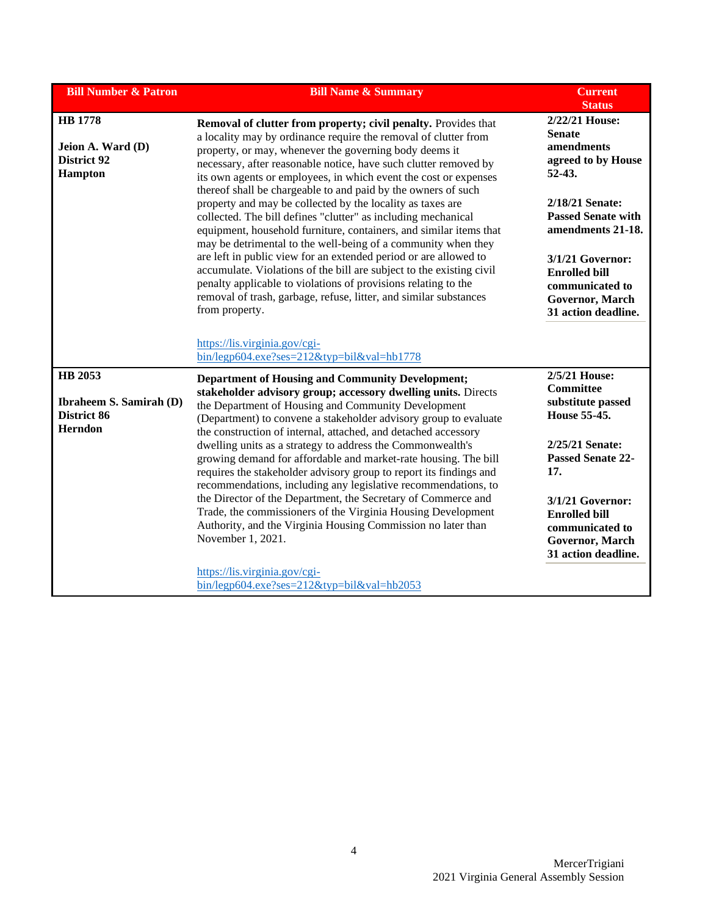| <b>Bill Number &amp; Patron</b>                                             | <b>Bill Name &amp; Summary</b>                                                                                                                                                                                                                                                                                                                                                                                                                                                                                                                                                                                                                                                                                                                 | <b>Current</b><br><b>Status</b>                                                                                                                                          |
|-----------------------------------------------------------------------------|------------------------------------------------------------------------------------------------------------------------------------------------------------------------------------------------------------------------------------------------------------------------------------------------------------------------------------------------------------------------------------------------------------------------------------------------------------------------------------------------------------------------------------------------------------------------------------------------------------------------------------------------------------------------------------------------------------------------------------------------|--------------------------------------------------------------------------------------------------------------------------------------------------------------------------|
| <b>HB</b> 1778<br><b>Jeion A. Ward (D)</b><br>District 92<br><b>Hampton</b> | Removal of clutter from property; civil penalty. Provides that<br>a locality may by ordinance require the removal of clutter from<br>property, or may, whenever the governing body deems it<br>necessary, after reasonable notice, have such clutter removed by<br>its own agents or employees, in which event the cost or expenses<br>thereof shall be chargeable to and paid by the owners of such<br>property and may be collected by the locality as taxes are<br>collected. The bill defines "clutter" as including mechanical<br>equipment, household furniture, containers, and similar items that<br>may be detrimental to the well-being of a community when they<br>are left in public view for an extended period or are allowed to | 2/22/21 House:<br><b>Senate</b><br>amendments<br>agreed to by House<br>$52-43.$<br>2/18/21 Senate:<br><b>Passed Senate with</b><br>amendments 21-18.<br>3/1/21 Governor: |
|                                                                             | accumulate. Violations of the bill are subject to the existing civil<br>penalty applicable to violations of provisions relating to the<br>removal of trash, garbage, refuse, litter, and similar substances<br>from property.                                                                                                                                                                                                                                                                                                                                                                                                                                                                                                                  | <b>Enrolled bill</b><br>communicated to<br>Governor, March<br>31 action deadline.                                                                                        |
|                                                                             | https://lis.virginia.gov/cgi-<br>$bin/legp604.exe?ses=212\&typ=bil\&val=hb1778$                                                                                                                                                                                                                                                                                                                                                                                                                                                                                                                                                                                                                                                                |                                                                                                                                                                          |
| HB 2053<br><b>Ibraheem S. Samirah (D)</b><br>District 86<br>Herndon         | <b>Department of Housing and Community Development;</b><br>stakeholder advisory group; accessory dwelling units. Directs<br>the Department of Housing and Community Development<br>(Department) to convene a stakeholder advisory group to evaluate                                                                                                                                                                                                                                                                                                                                                                                                                                                                                            | 2/5/21 House:<br><b>Committee</b><br>substitute passed<br>House 55-45.                                                                                                   |
|                                                                             | the construction of internal, attached, and detached accessory<br>dwelling units as a strategy to address the Commonwealth's<br>growing demand for affordable and market-rate housing. The bill<br>requires the stakeholder advisory group to report its findings and<br>recommendations, including any legislative recommendations, to                                                                                                                                                                                                                                                                                                                                                                                                        | 2/25/21 Senate:<br><b>Passed Senate 22-</b><br>17.                                                                                                                       |
|                                                                             | the Director of the Department, the Secretary of Commerce and<br>Trade, the commissioners of the Virginia Housing Development<br>Authority, and the Virginia Housing Commission no later than<br>November 1, 2021.                                                                                                                                                                                                                                                                                                                                                                                                                                                                                                                             | 3/1/21 Governor:<br><b>Enrolled bill</b><br>communicated to<br>Governor, March<br>31 action deadline.                                                                    |
|                                                                             | https://lis.virginia.gov/cgi-<br>bin/legp604.exe?ses=212&typ=bil&val=hb2053                                                                                                                                                                                                                                                                                                                                                                                                                                                                                                                                                                                                                                                                    |                                                                                                                                                                          |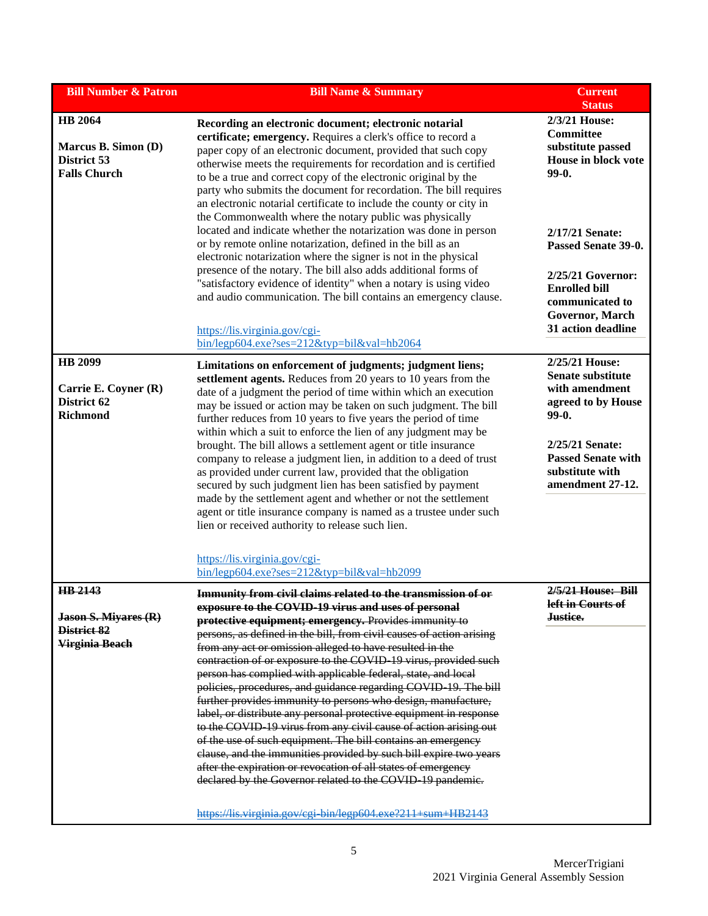| <b>Bill Number &amp; Patron</b>                                             | <b>Bill Name &amp; Summary</b>                                                                                                                                                                                                                                                                                                                                                                                                                                                                                                                                                                                                                                                                                                                                                                                                                                                                                                                                                                                                                                               | <b>Current</b><br><b>Status</b>                                                                                                                                                                                                    |
|-----------------------------------------------------------------------------|------------------------------------------------------------------------------------------------------------------------------------------------------------------------------------------------------------------------------------------------------------------------------------------------------------------------------------------------------------------------------------------------------------------------------------------------------------------------------------------------------------------------------------------------------------------------------------------------------------------------------------------------------------------------------------------------------------------------------------------------------------------------------------------------------------------------------------------------------------------------------------------------------------------------------------------------------------------------------------------------------------------------------------------------------------------------------|------------------------------------------------------------------------------------------------------------------------------------------------------------------------------------------------------------------------------------|
| <b>HB</b> 2064<br>Marcus B. Simon (D)<br>District 53<br><b>Falls Church</b> | Recording an electronic document; electronic notarial<br>certificate; emergency. Requires a clerk's office to record a<br>paper copy of an electronic document, provided that such copy<br>otherwise meets the requirements for recordation and is certified<br>to be a true and correct copy of the electronic original by the<br>party who submits the document for recordation. The bill requires<br>an electronic notarial certificate to include the county or city in<br>the Commonwealth where the notary public was physically<br>located and indicate whether the notarization was done in person<br>or by remote online notarization, defined in the bill as an<br>electronic notarization where the signer is not in the physical<br>presence of the notary. The bill also adds additional forms of<br>"satisfactory evidence of identity" when a notary is using video<br>and audio communication. The bill contains an emergency clause.<br>https://lis.virginia.gov/cgi-<br>bin/legp604.exe?ses=212&typ=bil&val=hb2064                                         | 2/3/21 House:<br>Committee<br>substitute passed<br>House in block vote<br>99-0.<br>2/17/21 Senate:<br>Passed Senate 39-0.<br>2/25/21 Governor:<br><b>Enrolled bill</b><br>communicated to<br>Governor, March<br>31 action deadline |
| <b>HB</b> 2099<br>Carrie E. Coyner (R)<br>District 62<br><b>Richmond</b>    | Limitations on enforcement of judgments; judgment liens;<br>settlement agents. Reduces from 20 years to 10 years from the<br>date of a judgment the period of time within which an execution<br>may be issued or action may be taken on such judgment. The bill<br>further reduces from 10 years to five years the period of time<br>within which a suit to enforce the lien of any judgment may be<br>brought. The bill allows a settlement agent or title insurance<br>company to release a judgment lien, in addition to a deed of trust<br>as provided under current law, provided that the obligation<br>secured by such judgment lien has been satisfied by payment<br>made by the settlement agent and whether or not the settlement<br>agent or title insurance company is named as a trustee under such<br>lien or received authority to release such lien.<br>https://lis.virginia.gov/cgi-<br>$bin/legp604.exe?ses=212\&typ=bil\&val=hb2099$                                                                                                                      | 2/25/21 House:<br><b>Senate substitute</b><br>with amendment<br>agreed to by House<br>99-0.<br>2/25/21 Senate:<br><b>Passed Senate with</b><br>substitute with<br>amendment 27-12.                                                 |
| HB 2143<br><b>Jason S. Miyares (R)</b><br>District 82<br>Virginia Beach     | <b>Immunity from civil claims related to the transmission of or</b><br>exposure to the COVID-19 virus and uses of personal<br>protective equipment; emergency. Provides immunity to<br>persons, as defined in the bill, from civil causes of action arising<br>from any act or omission alleged to have resulted in the<br>contraction of or exposure to the COVID 19 virus, provided such<br>person has complied with applicable federal, state, and local<br>policies, procedures, and guidance regarding COVID 19. The bill<br>further provides immunity to persons who design, manufacture,<br>label, or distribute any personal protective equipment in response<br>to the COVID 19 virus from any civil cause of action arising out<br>of the use of such equipment. The bill contains an emergency<br>clause, and the immunities provided by such bill expire two years<br>after the expiration or revocation of all states of emergency<br>declared by the Governor related to the COVID 19 pandemic.<br>https://lis.virginia.gov/cgi bin/legp604.exe?211+sum+HB2143 | 2/5/21 House: Bill<br>left in Courts of<br><del>Justice.</del>                                                                                                                                                                     |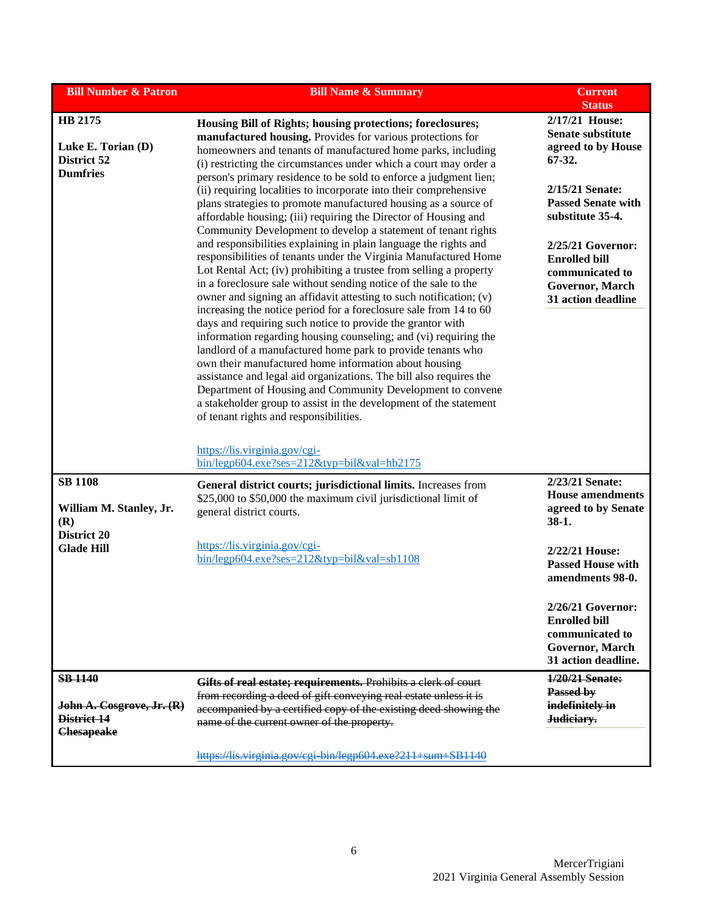| <b>Bill Number &amp; Patron</b>                                 | <b>Bill Name &amp; Summary</b>                                                                                                                                                                                                                                                                                                                                                                                                                                                                                                                                                                                                                                                                                                                                                                                                                                                                                                                                         | <b>Current</b><br><b>Status</b>                                                                        |
|-----------------------------------------------------------------|------------------------------------------------------------------------------------------------------------------------------------------------------------------------------------------------------------------------------------------------------------------------------------------------------------------------------------------------------------------------------------------------------------------------------------------------------------------------------------------------------------------------------------------------------------------------------------------------------------------------------------------------------------------------------------------------------------------------------------------------------------------------------------------------------------------------------------------------------------------------------------------------------------------------------------------------------------------------|--------------------------------------------------------------------------------------------------------|
| HB 2175<br>Luke E. Torian (D)<br>District 52<br><b>Dumfries</b> | Housing Bill of Rights; housing protections; foreclosures;<br>manufactured housing. Provides for various protections for<br>homeowners and tenants of manufactured home parks, including<br>(i) restricting the circumstances under which a court may order a<br>person's primary residence to be sold to enforce a judgment lien;                                                                                                                                                                                                                                                                                                                                                                                                                                                                                                                                                                                                                                     | 2/17/21 House:<br><b>Senate substitute</b><br>agreed to by House<br>$67-32.$                           |
|                                                                 | (ii) requiring localities to incorporate into their comprehensive<br>plans strategies to promote manufactured housing as a source of<br>affordable housing; (iii) requiring the Director of Housing and<br>Community Development to develop a statement of tenant rights                                                                                                                                                                                                                                                                                                                                                                                                                                                                                                                                                                                                                                                                                               | 2/15/21 Senate:<br><b>Passed Senate with</b><br>substitute 35-4.                                       |
|                                                                 | and responsibilities explaining in plain language the rights and<br>responsibilities of tenants under the Virginia Manufactured Home<br>Lot Rental Act; (iv) prohibiting a trustee from selling a property<br>in a foreclosure sale without sending notice of the sale to the<br>owner and signing an affidavit attesting to such notification; (v)<br>increasing the notice period for a foreclosure sale from 14 to 60<br>days and requiring such notice to provide the grantor with<br>information regarding housing counseling; and (vi) requiring the<br>landlord of a manufactured home park to provide tenants who<br>own their manufactured home information about housing<br>assistance and legal aid organizations. The bill also requires the<br>Department of Housing and Community Development to convene<br>a stakeholder group to assist in the development of the statement<br>of tenant rights and responsibilities.<br>https://lis.virginia.gov/cgi- | 2/25/21 Governor:<br><b>Enrolled bill</b><br>communicated to<br>Governor, March<br>31 action deadline  |
| <b>SB 1108</b>                                                  | $bin/legp604.exe?ses=212\&typ=bil\&val=hb2175$                                                                                                                                                                                                                                                                                                                                                                                                                                                                                                                                                                                                                                                                                                                                                                                                                                                                                                                         | 2/23/21 Senate:                                                                                        |
| William M. Stanley, Jr.<br>(R)<br>District 20                   | General district courts; jurisdictional limits. Increases from<br>\$25,000 to \$50,000 the maximum civil jurisdictional limit of<br>general district courts.                                                                                                                                                                                                                                                                                                                                                                                                                                                                                                                                                                                                                                                                                                                                                                                                           | <b>House amendments</b><br>agreed to by Senate<br>$38-1.$                                              |
| <b>Glade Hill</b>                                               | https://lis.virginia.gov/cgi-<br>bin/legp604.exe?ses=212&typ=bil&val=sb1108                                                                                                                                                                                                                                                                                                                                                                                                                                                                                                                                                                                                                                                                                                                                                                                                                                                                                            | 2/22/21 House:<br><b>Passed House with</b><br>amendments 98-0.                                         |
|                                                                 |                                                                                                                                                                                                                                                                                                                                                                                                                                                                                                                                                                                                                                                                                                                                                                                                                                                                                                                                                                        | 2/26/21 Governor:<br><b>Enrolled bill</b><br>communicated to<br>Governor, March<br>31 action deadline. |
| <b>SB 1140</b><br>John A. Cosgrove, Jr. (R)<br>District 14      | Gifts of real estate; requirements. Prohibits a clerk of court<br>from recording a deed of gift conveying real estate unless it is<br>accompanied by a certified copy of the existing deed showing the<br>name of the current owner of the property.                                                                                                                                                                                                                                                                                                                                                                                                                                                                                                                                                                                                                                                                                                                   | 1/20/21 Senate:<br>Passed by<br>indefinitely in<br>Judiciary.                                          |
| <b>Chesapeake</b>                                               | https://lis.virginia.gov/cgi-bin/legp604.exe?211+sum+SB1140                                                                                                                                                                                                                                                                                                                                                                                                                                                                                                                                                                                                                                                                                                                                                                                                                                                                                                            |                                                                                                        |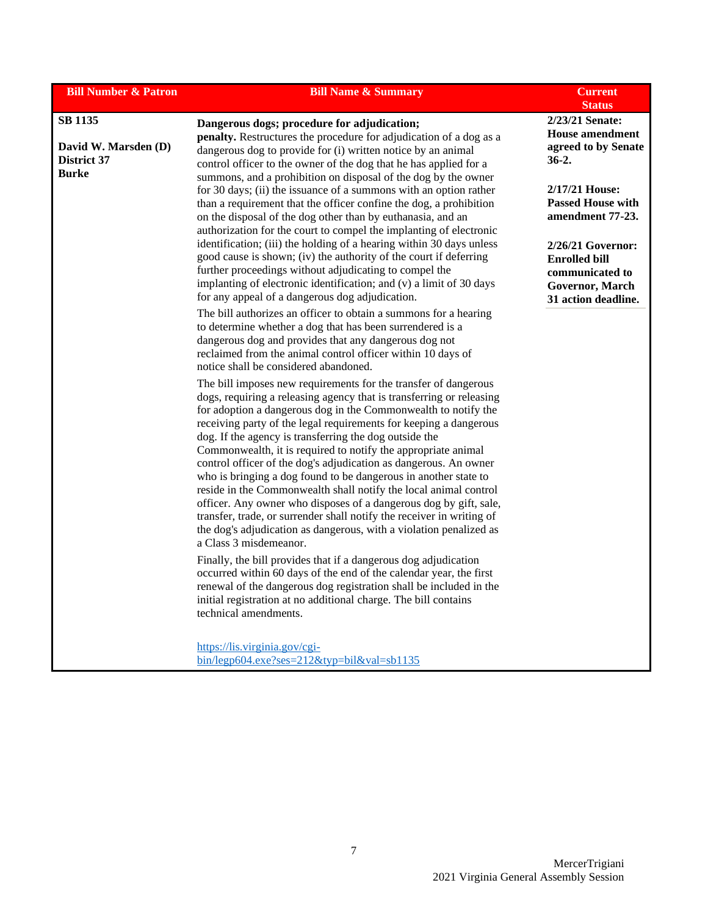| <b>Bill Number &amp; Patron</b>                                       | <b>Bill Name &amp; Summary</b>                                                                                                                                                                                                                                                                                                                                                                                                                                                                                                                                                                                                                                                                                                                                                                                                                                     | <b>Current</b><br><b>Status</b>                                                                        |
|-----------------------------------------------------------------------|--------------------------------------------------------------------------------------------------------------------------------------------------------------------------------------------------------------------------------------------------------------------------------------------------------------------------------------------------------------------------------------------------------------------------------------------------------------------------------------------------------------------------------------------------------------------------------------------------------------------------------------------------------------------------------------------------------------------------------------------------------------------------------------------------------------------------------------------------------------------|--------------------------------------------------------------------------------------------------------|
| <b>SB 1135</b><br>David W. Marsden (D)<br>District 37<br><b>Burke</b> | Dangerous dogs; procedure for adjudication;<br>penalty. Restructures the procedure for adjudication of a dog as a<br>dangerous dog to provide for (i) written notice by an animal<br>control officer to the owner of the dog that he has applied for a                                                                                                                                                                                                                                                                                                                                                                                                                                                                                                                                                                                                             | 2/23/21 Senate:<br><b>House amendment</b><br>agreed to by Senate<br>$36-2.$                            |
|                                                                       | summons, and a prohibition on disposal of the dog by the owner<br>for 30 days; (ii) the issuance of a summons with an option rather<br>than a requirement that the officer confine the dog, a prohibition<br>on the disposal of the dog other than by euthanasia, and an<br>authorization for the court to compel the implanting of electronic                                                                                                                                                                                                                                                                                                                                                                                                                                                                                                                     | 2/17/21 House:<br><b>Passed House with</b><br>amendment 77-23.                                         |
|                                                                       | identification; (iii) the holding of a hearing within 30 days unless<br>good cause is shown; (iv) the authority of the court if deferring<br>further proceedings without adjudicating to compel the<br>implanting of electronic identification; and (v) a limit of 30 days<br>for any appeal of a dangerous dog adjudication.                                                                                                                                                                                                                                                                                                                                                                                                                                                                                                                                      | 2/26/21 Governor:<br><b>Enrolled bill</b><br>communicated to<br>Governor, March<br>31 action deadline. |
|                                                                       | The bill authorizes an officer to obtain a summons for a hearing<br>to determine whether a dog that has been surrendered is a<br>dangerous dog and provides that any dangerous dog not<br>reclaimed from the animal control officer within 10 days of<br>notice shall be considered abandoned.                                                                                                                                                                                                                                                                                                                                                                                                                                                                                                                                                                     |                                                                                                        |
|                                                                       | The bill imposes new requirements for the transfer of dangerous<br>dogs, requiring a releasing agency that is transferring or releasing<br>for adoption a dangerous dog in the Commonwealth to notify the<br>receiving party of the legal requirements for keeping a dangerous<br>dog. If the agency is transferring the dog outside the<br>Commonwealth, it is required to notify the appropriate animal<br>control officer of the dog's adjudication as dangerous. An owner<br>who is bringing a dog found to be dangerous in another state to<br>reside in the Commonwealth shall notify the local animal control<br>officer. Any owner who disposes of a dangerous dog by gift, sale,<br>transfer, trade, or surrender shall notify the receiver in writing of<br>the dog's adjudication as dangerous, with a violation penalized as<br>a Class 3 misdemeanor. |                                                                                                        |
|                                                                       | Finally, the bill provides that if a dangerous dog adjudication<br>occurred within 60 days of the end of the calendar year, the first<br>renewal of the dangerous dog registration shall be included in the<br>initial registration at no additional charge. The bill contains<br>technical amendments.                                                                                                                                                                                                                                                                                                                                                                                                                                                                                                                                                            |                                                                                                        |
|                                                                       | https://lis.virginia.gov/cgi-<br>$bin/legp604.exe?ses=212\&tryp=bil\&val=sb1135$                                                                                                                                                                                                                                                                                                                                                                                                                                                                                                                                                                                                                                                                                                                                                                                   |                                                                                                        |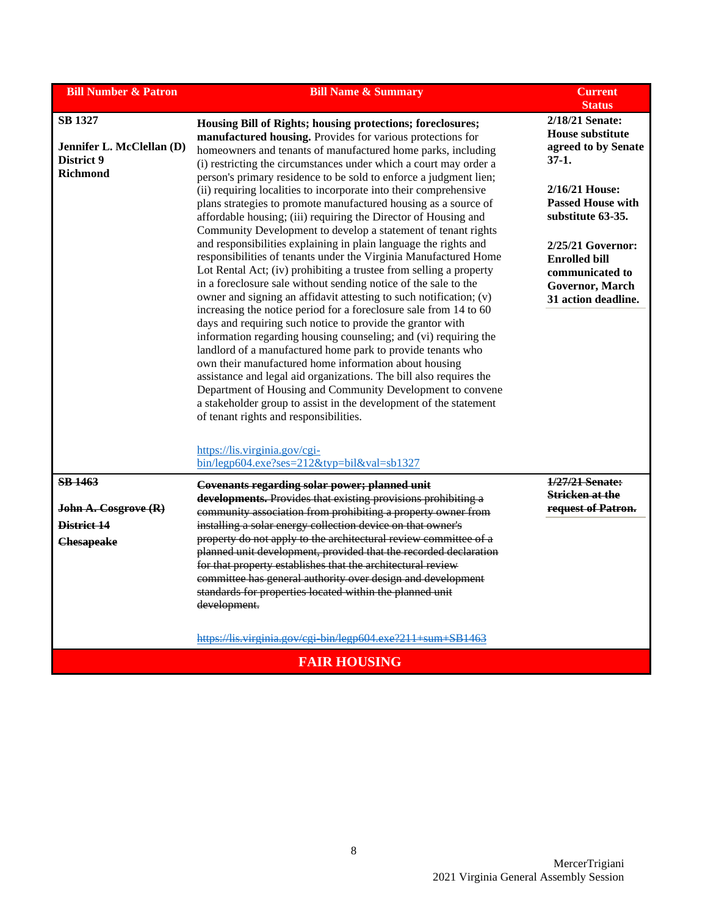| <b>Bill Number &amp; Patron</b>                                              | <b>Bill Name &amp; Summary</b>                                                                                                                                                                                                                                                                                                                                                                                                                                                                                                                                                                                                                                                                                                                                                                                                                                                                                                                                                                                                                                                                                                                                                                                                                                                                                                                                                                                                                                                                                                                          | <b>Current</b><br><b>Status</b>                                                                                                                                                                                                                             |
|------------------------------------------------------------------------------|---------------------------------------------------------------------------------------------------------------------------------------------------------------------------------------------------------------------------------------------------------------------------------------------------------------------------------------------------------------------------------------------------------------------------------------------------------------------------------------------------------------------------------------------------------------------------------------------------------------------------------------------------------------------------------------------------------------------------------------------------------------------------------------------------------------------------------------------------------------------------------------------------------------------------------------------------------------------------------------------------------------------------------------------------------------------------------------------------------------------------------------------------------------------------------------------------------------------------------------------------------------------------------------------------------------------------------------------------------------------------------------------------------------------------------------------------------------------------------------------------------------------------------------------------------|-------------------------------------------------------------------------------------------------------------------------------------------------------------------------------------------------------------------------------------------------------------|
| <b>SB 1327</b><br>Jennifer L. McClellan (D)<br>District 9<br><b>Richmond</b> | Housing Bill of Rights; housing protections; foreclosures;<br>manufactured housing. Provides for various protections for<br>homeowners and tenants of manufactured home parks, including<br>(i) restricting the circumstances under which a court may order a<br>person's primary residence to be sold to enforce a judgment lien;<br>(ii) requiring localities to incorporate into their comprehensive<br>plans strategies to promote manufactured housing as a source of<br>affordable housing; (iii) requiring the Director of Housing and<br>Community Development to develop a statement of tenant rights<br>and responsibilities explaining in plain language the rights and<br>responsibilities of tenants under the Virginia Manufactured Home<br>Lot Rental Act; (iv) prohibiting a trustee from selling a property<br>in a foreclosure sale without sending notice of the sale to the<br>owner and signing an affidavit attesting to such notification; (v)<br>increasing the notice period for a foreclosure sale from 14 to 60<br>days and requiring such notice to provide the grantor with<br>information regarding housing counseling; and (vi) requiring the<br>landlord of a manufactured home park to provide tenants who<br>own their manufactured home information about housing<br>assistance and legal aid organizations. The bill also requires the<br>Department of Housing and Community Development to convene<br>a stakeholder group to assist in the development of the statement<br>of tenant rights and responsibilities. | 2/18/21 Senate:<br><b>House substitute</b><br>agreed to by Senate<br>$37-1.$<br>2/16/21 House:<br><b>Passed House with</b><br>substitute 63-35.<br>$2/25/21$ Governor:<br><b>Enrolled bill</b><br>communicated to<br>Governor, March<br>31 action deadline. |
| <b>SB 1463</b>                                                               | https://lis.virginia.gov/cgi-<br>$bin/legp604.exe?ses=212\&typ=bil\&val=sb1327$<br>Covenants regarding solar power; planned unit                                                                                                                                                                                                                                                                                                                                                                                                                                                                                                                                                                                                                                                                                                                                                                                                                                                                                                                                                                                                                                                                                                                                                                                                                                                                                                                                                                                                                        | 1/27/21 Senate:                                                                                                                                                                                                                                             |
| John A. Cosgrove (R)<br>District 14<br><b>Chesapeake</b>                     | developments. Provides that existing provisions prohibiting a<br>community association from prohibiting a property owner from<br>installing a solar energy collection device on that owner's<br>property do not apply to the architectural review committee of a<br>planned unit development, provided that the recorded declaration<br>for that property establishes that the architectural review<br>committee has general authority over design and development<br>standards for properties located within the planned unit<br>development.<br>https://lis.virginia.gov/cgi_bin/legp604.exe?211+sum+SB1463                                                                                                                                                                                                                                                                                                                                                                                                                                                                                                                                                                                                                                                                                                                                                                                                                                                                                                                                           | Stricken at the<br>request of Patron.                                                                                                                                                                                                                       |
|                                                                              | <b>FAIR HOUSING</b>                                                                                                                                                                                                                                                                                                                                                                                                                                                                                                                                                                                                                                                                                                                                                                                                                                                                                                                                                                                                                                                                                                                                                                                                                                                                                                                                                                                                                                                                                                                                     |                                                                                                                                                                                                                                                             |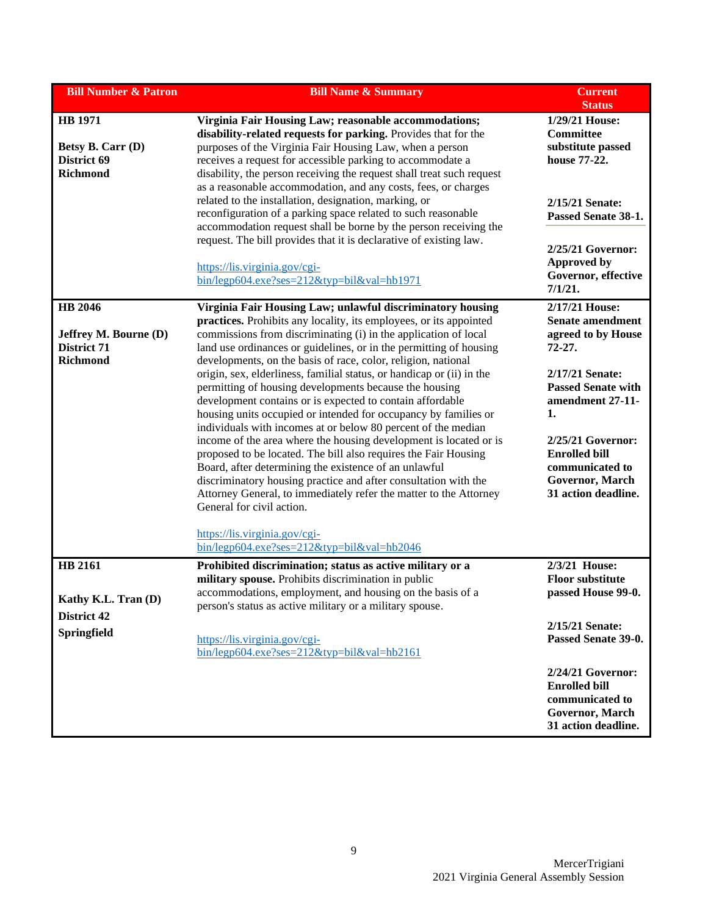| <b>Bill Number &amp; Patron</b>                                                         | <b>Bill Name &amp; Summary</b>                                                                                                                                                                                                                                                                                                                                                                                                                                                                                                                                                                                                                                                                                                                                                                                                                                                                                                                                                                                                                                                                                                          | <b>Current</b><br><b>Status</b>                                                                                                                                                                                                                               |
|-----------------------------------------------------------------------------------------|-----------------------------------------------------------------------------------------------------------------------------------------------------------------------------------------------------------------------------------------------------------------------------------------------------------------------------------------------------------------------------------------------------------------------------------------------------------------------------------------------------------------------------------------------------------------------------------------------------------------------------------------------------------------------------------------------------------------------------------------------------------------------------------------------------------------------------------------------------------------------------------------------------------------------------------------------------------------------------------------------------------------------------------------------------------------------------------------------------------------------------------------|---------------------------------------------------------------------------------------------------------------------------------------------------------------------------------------------------------------------------------------------------------------|
| <b>HB</b> 1971<br>Betsy B. Carr (D)<br>District 69<br><b>Richmond</b>                   | Virginia Fair Housing Law; reasonable accommodations;<br>disability-related requests for parking. Provides that for the<br>purposes of the Virginia Fair Housing Law, when a person<br>receives a request for accessible parking to accommodate a<br>disability, the person receiving the request shall treat such request<br>as a reasonable accommodation, and any costs, fees, or charges<br>related to the installation, designation, marking, or<br>reconfiguration of a parking space related to such reasonable<br>accommodation request shall be borne by the person receiving the<br>request. The bill provides that it is declarative of existing law.<br>https://lis.virginia.gov/cgi-<br>bin/legp604.exe?ses=212&typ=bil&val=hb1971                                                                                                                                                                                                                                                                                                                                                                                         | 1/29/21 House:<br>Committee<br>substitute passed<br>house 77-22.<br>2/15/21 Senate:<br>Passed Senate 38-1.<br>2/25/21 Governor:<br><b>Approved by</b><br>Governor, effective<br>7/1/21.                                                                       |
| <b>HB</b> 2046<br><b>Jeffrey M. Bourne (D)</b><br><b>District 71</b><br><b>Richmond</b> | Virginia Fair Housing Law; unlawful discriminatory housing<br>practices. Prohibits any locality, its employees, or its appointed<br>commissions from discriminating (i) in the application of local<br>land use ordinances or guidelines, or in the permitting of housing<br>developments, on the basis of race, color, religion, national<br>origin, sex, elderliness, familial status, or handicap or (ii) in the<br>permitting of housing developments because the housing<br>development contains or is expected to contain affordable<br>housing units occupied or intended for occupancy by families or<br>individuals with incomes at or below 80 percent of the median<br>income of the area where the housing development is located or is<br>proposed to be located. The bill also requires the Fair Housing<br>Board, after determining the existence of an unlawful<br>discriminatory housing practice and after consultation with the<br>Attorney General, to immediately refer the matter to the Attorney<br>General for civil action.<br>https://lis.virginia.gov/cgi-<br>$bin/legp604.exe?ses=212\&typ=bil\&val=hb2046$ | 2/17/21 House:<br><b>Senate amendment</b><br>agreed to by House<br>72-27.<br>2/17/21 Senate:<br><b>Passed Senate with</b><br>amendment 27-11-<br>1.<br>2/25/21 Governor:<br><b>Enrolled bill</b><br>communicated to<br>Governor, March<br>31 action deadline. |
| <b>HB 2161</b><br>Kathy K.L. Tran (D)<br><b>District 42</b><br>Springfield              | Prohibited discrimination; status as active military or a<br>military spouse. Prohibits discrimination in public<br>accommodations, employment, and housing on the basis of a<br>person's status as active military or a military spouse.<br>https://lis.virginia.gov/cgi-<br>$bin/legp604.exe?ses=212&typ=bil&val=hb2161$                                                                                                                                                                                                                                                                                                                                                                                                                                                                                                                                                                                                                                                                                                                                                                                                              | 2/3/21 House:<br><b>Floor substitute</b><br>passed House 99-0.<br>2/15/21 Senate:<br>Passed Senate 39-0.<br>2/24/21 Governor:<br><b>Enrolled bill</b><br>communicated to<br>Governor, March<br>31 action deadline.                                            |